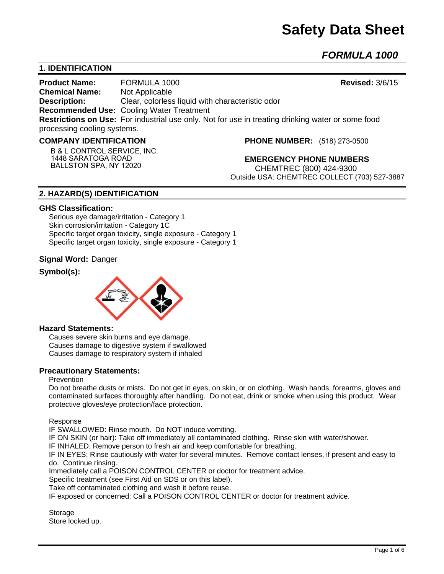# **Safety Data Sheet**

*FORMULA 1000* 

# **1. IDENTIFICATION**

**Product Name:** FORMULA 1000 **Revised:** 3/6/15 **Chemical Name:** Not Applicable **Description:** Clear, colorless liquid with characteristic odor **Recommended Use:** Cooling Water Treatment **Restrictions on Use:** For industrial use only. Not for use in treating drinking water or some food processing cooling systems.

#### **COMPANY IDENTIFICATION**

**B & L CONTROL SERVICE, INC. 1448 SARATOGA ROAD BALLSTON SPA, NY 12020**

**PHONE NUMBER:** (518) 273-0500

**EMERGENCY PHONE NUMBERS** CHEMTREC (800) 424-9300 Outside USA: CHEMTREC COLLECT (703) 527-3887

# **2. HAZARD(S) IDENTIFICATION**

#### **GHS Classification:**

Serious eye damage/irritation - Category 1 Skin corrosion/irritation - Category 1C Specific target organ toxicity, single exposure - Category 1 Specific target organ toxicity, single exposure - Category 1

#### **Signal Word:** Danger

## **Symbol(s):**



#### **Hazard Statements:**

Causes severe skin burns and eye damage. Causes damage to digestive system if swallowed Causes damage to respiratory system if inhaled

#### **Precautionary Statements:**

#### Prevention

Do not breathe dusts or mists. Do not get in eyes, on skin, or on clothing. Wash hands, forearms, gloves and contaminated surfaces thoroughly after handling. Do not eat, drink or smoke when using this product. Wear protective gloves/eye protection/face protection.

Response

IF SWALLOWED: Rinse mouth. Do NOT induce vomiting.

IF ON SKIN (or hair): Take off immediately all contaminated clothing. Rinse skin with water/shower.

IF INHALED: Remove person to fresh air and keep comfortable for breathing.

IF IN EYES: Rinse cautiously with water for several minutes. Remove contact lenses, if present and easy to do. Continue rinsing.

Immediately call a POISON CONTROL CENTER or doctor for treatment advice.

Specific treatment (see First Aid on SDS or on this label).

Take off contaminated clothing and wash it before reuse.

IF exposed or concerned: Call a POISON CONTROL CENTER or doctor for treatment advice.

**Storage** Store locked up.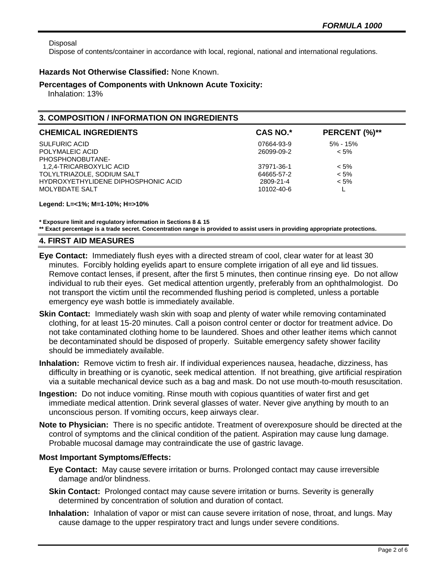Disposal

Dispose of contents/container in accordance with local, regional, national and international regulations.

## **Hazards Not Otherwise Classified:** None Known.

#### **Percentages of Components with Unknown Acute Toxicity:**

Inhalation: 13%

## **3. COMPOSITION / INFORMATION ON INGREDIENTS**

| <b>CHEMICAL INGREDIENTS</b>         | CAS NO.*   | PERCENT (%)** |
|-------------------------------------|------------|---------------|
| <b>SULFURIC ACID</b>                | 07664-93-9 | 5% - 15%      |
| POLYMALEIC ACID                     | 26099-09-2 | $< 5\%$       |
| PHOSPHONOBUTANE-                    |            |               |
| 1,2,4-TRICARBOXYLIC ACID            | 37971-36-1 | $< 5\%$       |
| TOLYLTRIAZOLE, SODIUM SALT          | 64665-57-2 | $< 5\%$       |
| HYDROXYETHYLIDENE DIPHOSPHONIC ACID | 2809-21-4  | $< 5\%$       |
| MOLYBDATE SALT                      | 10102-40-6 |               |

**Legend: L=<1%; M=1-10%; H=>10%**

**\* Exposure limit and regulatory information in Sections 8 & 15**

**\*\* Exact percentage is a trade secret. Concentration range is provided to assist users in providing appropriate protections.**

## **4. FIRST AID MEASURES**

- **Eye Contact:** Immediately flush eyes with a directed stream of cool, clear water for at least 30 minutes. Forcibly holding eyelids apart to ensure complete irrigation of all eye and lid tissues. Remove contact lenses, if present, after the first 5 minutes, then continue rinsing eye. Do not allow individual to rub their eyes. Get medical attention urgently, preferably from an ophthalmologist. Do not transport the victim until the recommended flushing period is completed, unless a portable emergency eye wash bottle is immediately available.
- **Skin Contact:** Immediately wash skin with soap and plenty of water while removing contaminated clothing, for at least 15-20 minutes. Call a poison control center or doctor for treatment advice. Do not take contaminated clothing home to be laundered. Shoes and other leather items which cannot be decontaminated should be disposed of properly. Suitable emergency safety shower facility should be immediately available.
- **Inhalation:** Remove victim to fresh air. If individual experiences nausea, headache, dizziness, has difficulty in breathing or is cyanotic, seek medical attention. If not breathing, give artificial respiration via a suitable mechanical device such as a bag and mask. Do not use mouth-to-mouth resuscitation.
- **Ingestion:** Do not induce vomiting. Rinse mouth with copious quantities of water first and get immediate medical attention. Drink several glasses of water. Never give anything by mouth to an unconscious person. If vomiting occurs, keep airways clear.
- **Note to Physician:** There is no specific antidote. Treatment of overexposure should be directed at the control of symptoms and the clinical condition of the patient. Aspiration may cause lung damage. Probable mucosal damage may contraindicate the use of gastric lavage.

# **Most Important Symptoms/Effects:**

- **Eye Contact:** May cause severe irritation or burns. Prolonged contact may cause irreversible damage and/or blindness.
- **Skin Contact:** Prolonged contact may cause severe irritation or burns. Severity is generally determined by concentration of solution and duration of contact.
- **Inhalation:** Inhalation of vapor or mist can cause severe irritation of nose, throat, and lungs. May cause damage to the upper respiratory tract and lungs under severe conditions.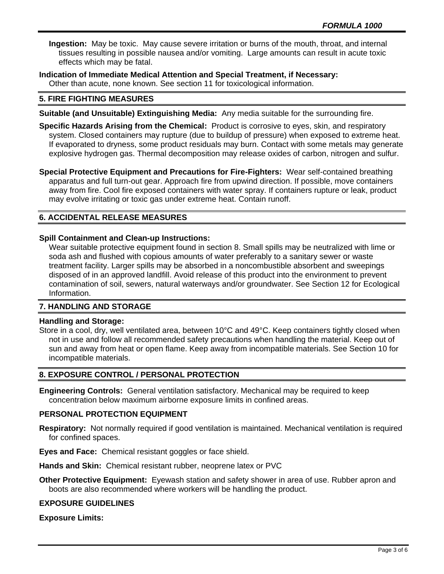**Ingestion:** May be toxic. May cause severe irritation or burns of the mouth, throat, and internal tissues resulting in possible nausea and/or vomiting. Large amounts can result in acute toxic effects which may be fatal.

**Indication of Immediate Medical Attention and Special Treatment, if Necessary:** Other than acute, none known. See section 11 for toxicological information.

#### **5. FIRE FIGHTING MEASURES**

- **Suitable (and Unsuitable) Extinguishing Media:** Any media suitable for the surrounding fire.
- **Specific Hazards Arising from the Chemical:** Product is corrosive to eyes, skin, and respiratory system. Closed containers may rupture (due to buildup of pressure) when exposed to extreme heat. If evaporated to dryness, some product residuals may burn. Contact with some metals may generate explosive hydrogen gas. Thermal decomposition may release oxides of carbon, nitrogen and sulfur.

**Special Protective Equipment and Precautions for Fire-Fighters:** Wear self-contained breathing apparatus and full turn-out gear. Approach fire from upwind direction. If possible, move containers away from fire. Cool fire exposed containers with water spray. If containers rupture or leak, product may evolve irritating or toxic gas under extreme heat. Contain runoff.

# **6. ACCIDENTAL RELEASE MEASURES**

#### **Spill Containment and Clean-up Instructions:**

Wear suitable protective equipment found in section 8. Small spills may be neutralized with lime or soda ash and flushed with copious amounts of water preferably to a sanitary sewer or waste treatment facility. Larger spills may be absorbed in a noncombustible absorbent and sweepings disposed of in an approved landfill. Avoid release of this product into the environment to prevent contamination of soil, sewers, natural waterways and/or groundwater. See Section 12 for Ecological Information.

# **7. HANDLING AND STORAGE**

#### **Handling and Storage:**

Store in a cool, dry, well ventilated area, between 10°C and 49°C. Keep containers tightly closed when not in use and follow all recommended safety precautions when handling the material. Keep out of sun and away from heat or open flame. Keep away from incompatible materials. See Section 10 for incompatible materials.

# **8. EXPOSURE CONTROL / PERSONAL PROTECTION**

**Engineering Controls:** General ventilation satisfactory. Mechanical may be required to keep concentration below maximum airborne exposure limits in confined areas.

#### **PERSONAL PROTECTION EQUIPMENT**

- **Respiratory:** Not normally required if good ventilation is maintained. Mechanical ventilation is required for confined spaces.
- **Eyes and Face:** Chemical resistant goggles or face shield.
- **Hands and Skin:** Chemical resistant rubber, neoprene latex or PVC
- **Other Protective Equipment:** Eyewash station and safety shower in area of use. Rubber apron and boots are also recommended where workers will be handling the product.

#### **EXPOSURE GUIDELINES**

**Exposure Limits:**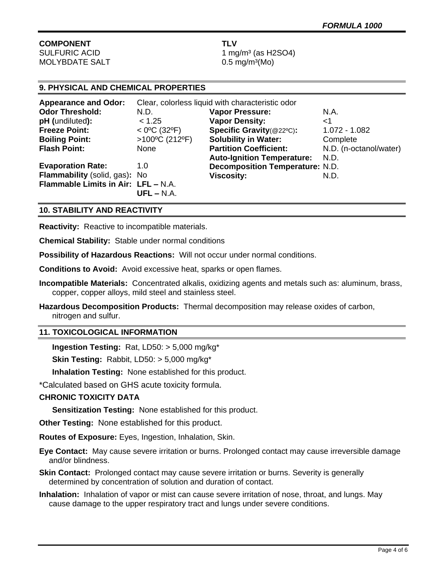# **COMPONENT TLV**

 $MOLYBDATE SALT$  0.5 mg/m<sup>3</sup>(Mo)

SULFURIC ACID 1 mg/m<sup>3</sup> (as H2SO4)

## **9. PHYSICAL AND CHEMICAL PROPERTIES**

| <b>Appearance and Odor:</b>         | Clear, colorless liquid with characteristic odor |                                        |                        |
|-------------------------------------|--------------------------------------------------|----------------------------------------|------------------------|
| <b>Odor Threshold:</b>              | N.D.                                             | <b>Vapor Pressure:</b>                 | N.A.                   |
| pH (undiluted):                     | < 1.25                                           | <b>Vapor Density:</b>                  | ا>                     |
| <b>Freeze Point:</b>                | $<$ 0°C (32°F)                                   | Specific Gravity(@22°C):               | 1.072 - 1.082          |
| <b>Boiling Point:</b>               | >100°C (212°F)                                   | <b>Solubility in Water:</b>            | Complete               |
| <b>Flash Point:</b>                 | None                                             | <b>Partition Coefficient:</b>          | N.D. (n-octanol/water) |
|                                     |                                                  | <b>Auto-Ignition Temperature:</b>      | N.D.                   |
| <b>Evaporation Rate:</b>            | 1.0                                              | <b>Decomposition Temperature: N.D.</b> |                        |
| Flammability (solid, gas): No       |                                                  | <b>Viscosity:</b>                      | N.D.                   |
| Flammable Limits in Air: LFL - N.A. |                                                  |                                        |                        |
|                                     | $UFL - N.A.$                                     |                                        |                        |

## **10. STABILITY AND REACTIVITY**

**Reactivity:** Reactive to incompatible materials.

**Chemical Stability:** Stable under normal conditions

**Possibility of Hazardous Reactions:** Will not occur under normal conditions.

**Conditions to Avoid:** Avoid excessive heat, sparks or open flames.

- **Incompatible Materials:** Concentrated alkalis, oxidizing agents and metals such as: aluminum, brass, copper, copper alloys, mild steel and stainless steel.
- **Hazardous Decomposition Products:** Thermal decomposition may release oxides of carbon, nitrogen and sulfur.

#### **11. TOXICOLOGICAL INFORMATION**

**Ingestion Testing:** Rat, LD50: > 5,000 mg/kg\*

**Skin Testing:** Rabbit, LD50: > 5,000 mg/kg\*

**Inhalation Testing:** None established for this product.

\*Calculated based on GHS acute toxicity formula.

#### **CHRONIC TOXICITY DATA**

**Sensitization Testing:** None established for this product.

**Other Testing:** None established for this product.

**Routes of Exposure:** Eyes, Ingestion, Inhalation, Skin.

**Eye Contact:** May cause severe irritation or burns. Prolonged contact may cause irreversible damage and/or blindness.

**Skin Contact:** Prolonged contact may cause severe irritation or burns. Severity is generally determined by concentration of solution and duration of contact.

**Inhalation:** Inhalation of vapor or mist can cause severe irritation of nose, throat, and lungs. May cause damage to the upper respiratory tract and lungs under severe conditions.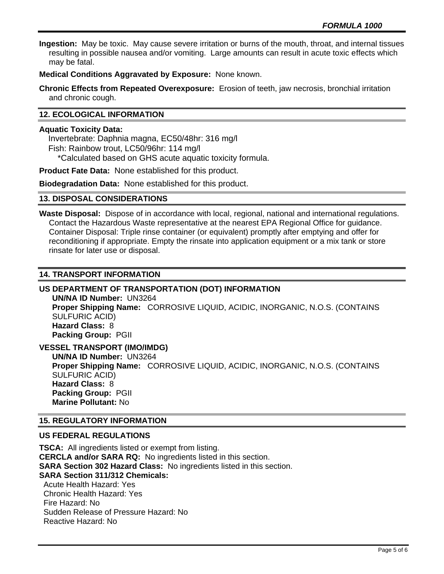**Ingestion:** May be toxic. May cause severe irritation or burns of the mouth, throat, and internal tissues resulting in possible nausea and/or vomiting. Large amounts can result in acute toxic effects which may be fatal.

**Medical Conditions Aggravated by Exposure:** None known.

**Chronic Effects from Repeated Overexposure:** Erosion of teeth, jaw necrosis, bronchial irritation and chronic cough.

## **12. ECOLOGICAL INFORMATION**

#### **Aquatic Toxicity Data:**

 Invertebrate: Daphnia magna, EC50/48hr: 316 mg/l Fish: Rainbow trout, LC50/96hr: 114 mg/l \*Calculated based on GHS acute aquatic toxicity formula.

**Product Fate Data:** None established for this product.

**Biodegradation Data:** None established for this product.

#### **13. DISPOSAL CONSIDERATIONS**

**Waste Disposal:** Dispose of in accordance with local, regional, national and international regulations. Contact the Hazardous Waste representative at the nearest EPA Regional Office for guidance. Container Disposal: Triple rinse container (or equivalent) promptly after emptying and offer for reconditioning if appropriate. Empty the rinsate into application equipment or a mix tank or store rinsate for later use or disposal.

#### **14. TRANSPORT INFORMATION**

#### **US DEPARTMENT OF TRANSPORTATION (DOT) INFORMATION**

**UN/NA ID Number:** UN3264 **Proper Shipping Name:** CORROSIVE LIQUID, ACIDIC, INORGANIC, N.O.S. (CONTAINS SULFURIC ACID) **Hazard Class:** 8 **Packing Group:** PGII

**VESSEL TRANSPORT (IMO/IMDG)**

**UN/NA ID Number:** UN3264 **Proper Shipping Name:** CORROSIVE LIQUID, ACIDIC, INORGANIC, N.O.S. (CONTAINS SULFURIC ACID) **Hazard Class:** 8 **Packing Group:** PGII **Marine Pollutant:** No

#### **15. REGULATORY INFORMATION**

## **US FEDERAL REGULATIONS**

**TSCA:** All ingredients listed or exempt from listing. **CERCLA and/or SARA RQ:** No ingredients listed in this section. **SARA Section 302 Hazard Class:** No ingredients listed in this section. **SARA Section 311/312 Chemicals:**  Acute Health Hazard: Yes Chronic Health Hazard: Yes Fire Hazard: No Sudden Release of Pressure Hazard: No Reactive Hazard: No